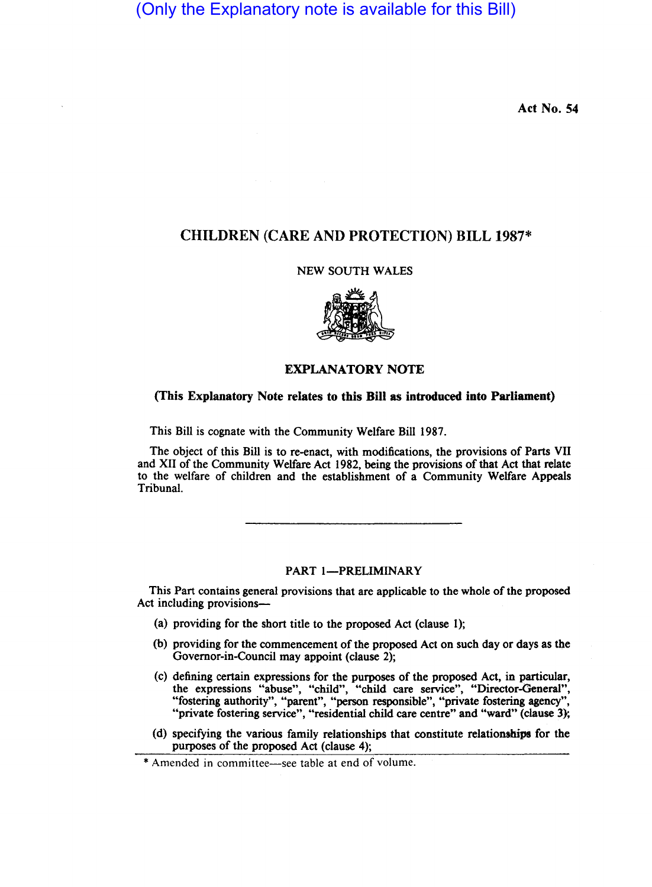(Only the Explanatory note is available for this Bill)

Act No. 54

## CHILDREN (CARE AND PROTECTION) BILL 1987\*

## NEW SOUTH WALES



## EXPLANATORY NOTE

## (This Explanatory Note relates to this Bill as introduced into Parliament)

This Bill is cognate with the Community Welfare Bill 1987.

The object of this Bill is to re-enact, with modifications, the provisions of Parts VII and XII of the Community Welfare Act 1982, being the provisions of that Act that relate to the welfare of children and the establishment of a Community Welfare Appeals Tribunal.

## PART 1-PRELIMINARY

This Part contains general provisions that are applicable to the whole of the proposed Act including provisions-

- (a) providing for the short title to the proposed Act (clause 1);
- (b) providing for the commencement of the proposed Act on such day or days as the Governor-in-Council may appoint (clause 2);
- (c) defining certain expressions for the purposes of the proposed Act, in particular, the expressions "abuse", "child", "child care service", "Director-General", "fostering authority", "parent", "person responsible", "private fostering agency", "private fostering service", "residential child care centre" and "ward" (clause 3);
- (d) specifying the various family relationships that constitute relationships for the purposes of the proposed Act (clause 4);

<sup>\*</sup> Amended in committee-see table at end of volume.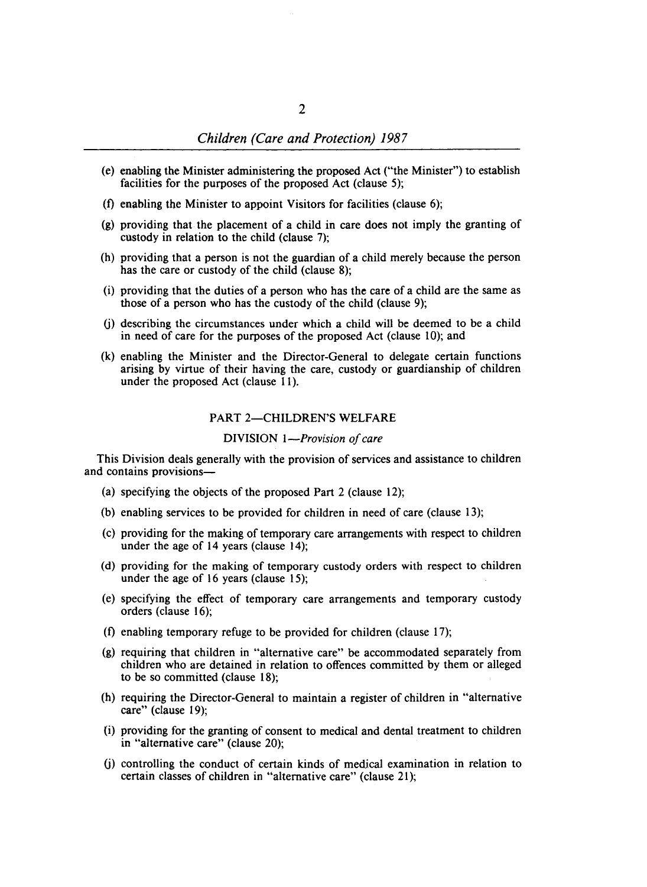- (e) enabling the Minister administering the proposed Act ("the Minister") to establish facilities for the purposes of the proposed Act (clause 5);
- (f) enabling the Minister to appoint Visitors for facilities (clause 6);
- (g) providing that the placement of a child in care does not imply the granting of custody in relation to the child (clause 7);
- (h) providing that a person is not the guardian of a child merely because the person has the care or custody of the child (clause 8);
- (i) providing that the duties of a person who has the care of a child are the same as those of a person who has the custody of the child (clause 9);
- (j) describing the circumstances under which a child will be deemed to be a child in need of care for the purposes of the proposed Act (clause 10); and
- (k) enabling the Minister and the Director-General to delegate certain functions arising by virtue of their having the care, custody or guardianship of children under the proposed Act (clause 11).

#### PART 2-CHILDREN'S WELFARE

### DIVISION *I-Provision of care*

This Division deals generally with the provision of services and assistance to children and contains provisions-

- (a) specifying the objects of the proposed Part 2 (clause 12);
- (b) enabling services to be provided for children in need of care (clause 13);
- (c)· providing for the making of temporary care arrangements with respect to children under the age of 14 years (clause 14);
- (d) providing for the making of temporary custody orders with respect to children under the age of 16 years (clause 15);
- (e) specifying the effect of temporary care arrangements and temporary custody orders (clause 16);
- (f) enabling temporary refuge to be provided for children (clause 17);
- (g) requiring that children in "alternative care" be accommodated separately from children who are detained in relation to offences committed by them or alleged to be so committed (clause 18);
- (h) requiring the Director-General to maintain a register of children in "alternative care" (clause 19);
- (i) providing for the granting of consent to medical and dental treatment to children in "alternative care" (clause 20);
- (j) controlling the conduct of certain kinds of medical examination in relation to certain classes of children in "alternative care" (clause 21);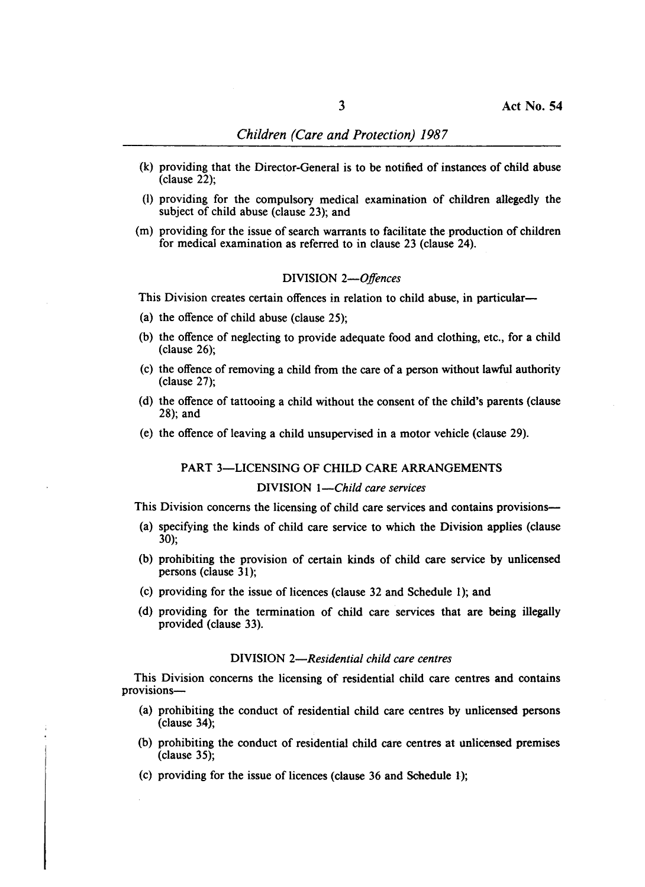- (k) providing that the Director-General is to be notified of instances of child abuse (clause 22);
- (I) providing for the compulsory medical examination of children allegedly the subject of child abuse (clause 23); and
- (m) providing for the issue of search warrants to facilitate the production of children for medical examination as referred to in clause 23 (clause 24).

#### DIVISION *2-0ffences*

This Division creates certain offences in relation to child abuse, in particular-

- (a) the offence of child abuse (clause 25);
- (b) the offence of neglecting to provide adequate food and clothing, etc., for a child (clause 26);
- (c) the offence of removing a child from the care of a person without lawful authority (clause 27);
- (d) the offence of tattooing a child without the consent of the child's parents (clause 28); and
- (e) the offence of leaving a child unsupervised in a motor vehicle (clause 29).

# PART 3-LICENSING OF CHILD CARE ARRANGEMENTS

## DIVISION *I-Child care services*

This Division concerns the licensing of child care services and contains provisions-

- (a) specifying the kinds of child care service to which the Division applies (clause 30);
- (b) prohibiting the provision of certain kinds of child care service by unlicensed persons (clause 31);
- (c) providing for the issue of licences (clause 32 and Schedule 1); and
- (d) providing for the termination of child care services that are being illegally provided (clause 33).

## DIVISION *2-Residential child care centres*

This Division concerns the licensing of residential child care centres and contains provisions-

- (a) prohibiting the conduct of residential child care centres by unlicensed persons (clause 34);
- (b) prohibiting the conduct of residential child care centres at unlicensed premises (clause 35);
- (c) providing for the issue of licences (clause 36 and Schedule 1);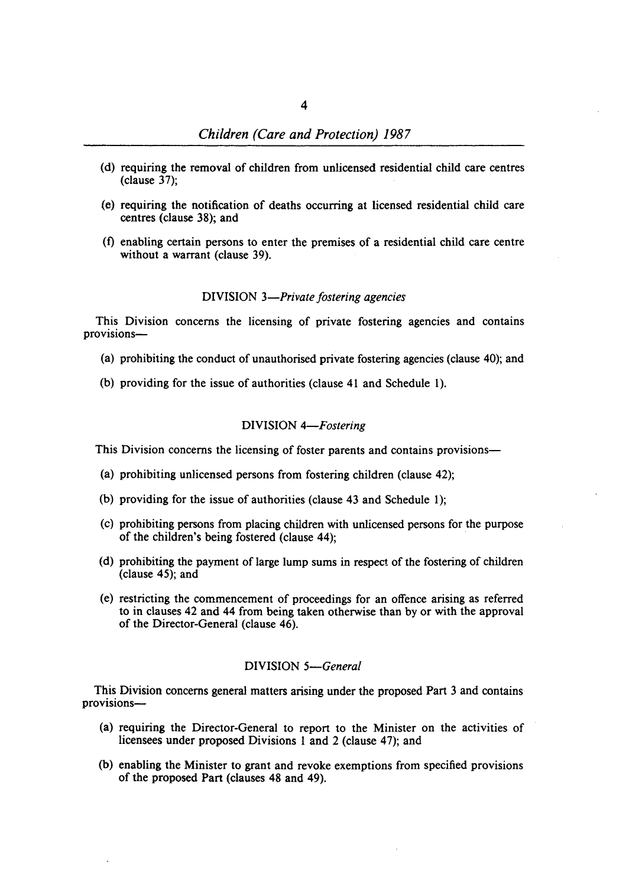- (d) requiring the removal of children from unlicensed residential child care centres (clause 37);
- (e) requiring the notification of deaths occurring at licensed residential child care centres (clause 38); and
- $(f)$  enabling certain persons to enter the premises of a residential child care centre without a warrant (clause 39).

## DIVISION *3-Private fostering agencies*

This Division concerns the licensing of private fostering agencies and contains provisions-

- (a) prohibiting the conduct of unauthorised private fostering agencies (clause 40); and
- (b) providing for the issue of authorities (clause 41 and Schedule 1).

#### DIVISION *4-Fostering*

This Division concerns the licensing of foster parents and contains provisions-

- (a) prohibiting unlicensed persons from fostering children (clause 42);
- (b) providing for the issue of authorities (clause 43 and Schedule 1);
- (c) prohibiting persons from placing children with unlicensed persons for the purpose of the children's being fostered (clause 44);
- (d) prohibiting the payment of large lump sums in respect of the fostering of children (clause 45); and
- (e) restricting the commencement of proceedings for an offence arising as referred to in clauses 42 and 44 from being taken otherwise than by or with the approval of the Director-General (clause 46).

## DIVISION *5-General*

This Division concerns general matters arising under the proposed Part 3 and contains provisions-

- (a) requiring the Director-General to report to the Minister on the activities of licensees under proposed Divisions 1 and 2 (clause 47); and
- (b) enabling the Minister to grant and revoke exemptions from specified provisions of the proposed Part (clauses 48 and 49).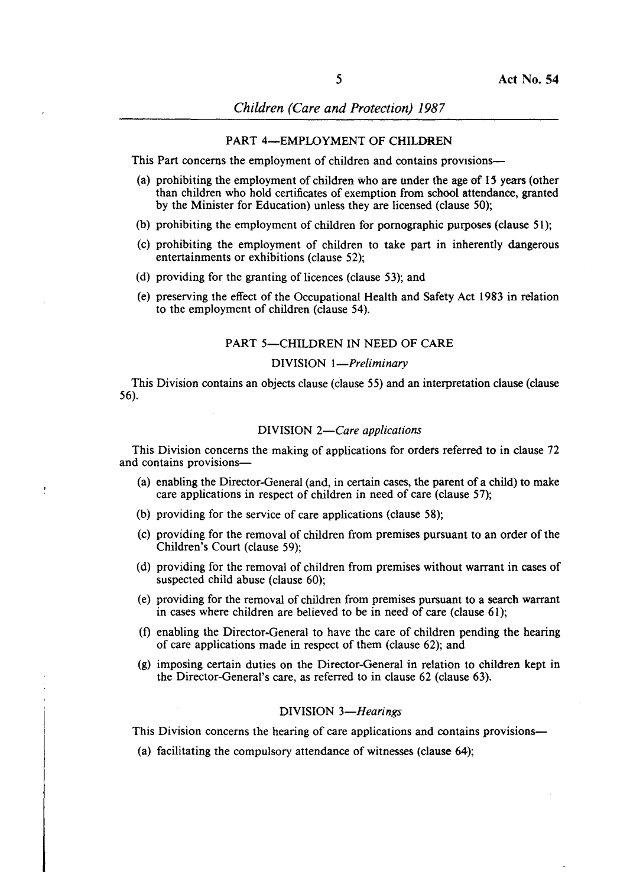#### PART 4-EMPLOYMENT OF CHILDREN

This Part concerns the employment of children and contains provisions-

- (a) prohibiting the employment of children who are under the age of *IS* years (other than children who hold certificates of exemption from school attendance, granted by the Minister for Education) unless they are licensed (clause 50);
- (b) prohibiting the employment of children for pornographic purposes (clause 51);
- (c) prohibiting the employment of children to take part in inherently dangerous entertainments or exhibitions (clause 52);
- (d) providing for the granting of licences (clause 53); and
- (e) preserving the effect of the Occupational Health and Safety Act 1983 in relation to the employment of children (clause 54).

#### PART 5-CHILDREN IN NEED OF CARE

#### DIVISION *I-Preliminary*

This Division contains an objects clause (clause 55) and an interpretation clause (clause 56).

#### DIVISION *2-Care applications*

This Division concerns the making of applications for orders referred to in clause 72 and contains provisions-

- (a) enabling the Director-General (and, in certain cases, the parent of a child) to make care applications in respect of children in need of care (clause 57);
- (b) providing for the service of care applications (clause 58);
- (c) providing for the removal of children from premises pursuant to an order of the Children's Court (clause 59);
- (d) providing for the removal of children from premises without warrant in cases of suspected child abuse (clause 60);
- (e) providing for the removal of children from premises pursuant to a search warrant in cases where children are believed to be in need of care (clause 61);
- (f) enabling the Director-General to have the care of children pending the hearing of care applications made in respect of them (clause 62); and
- (g) imposing certain duties on the Director-General in relation to children kept in the Director-General's care, as referred to in clause 62 (clause 63).

#### DIVISION 3-Hearings

This Division concerns the hearing of care applications and contains provisions-

(a) facilitating the compulsory attendance of witnesses (clause 64);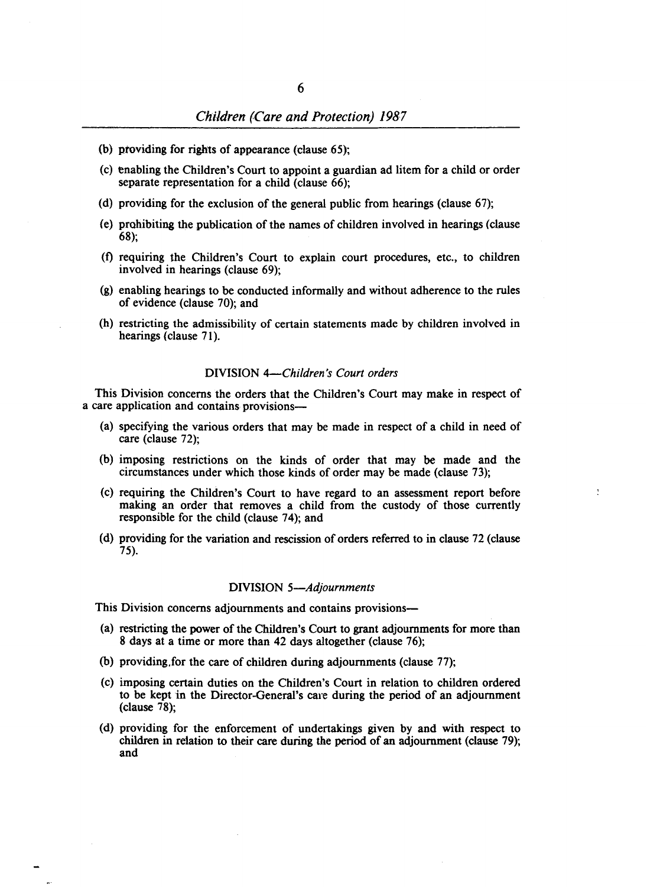- (b) ptoviding for rights of appearance (clause 65);
- (c) enabling the Children's Court to appoint a guardian ad litem for a child or order separate representation for a child (clause 66);
- (d) providing for the exclusion of the general public from hearings (clause 67);
- (e) prohibiting the publication of the names of children involved in hearings (clause 68);
- (f) requiring the Children's Court to explain court procedures, etc., to children involved in hearings (clause 69);
- (g) enabling bearings to be conducted informally and without adherence to the rules of evidence (clause 70); and
- (h) restricting the admissibility of certain statements made by children involved in hearings (clause 71).

#### DIVISION *4-Children's Court orders*

This Division concerns the orders that the Children's Court may make in respect of a care application and contains provisions-

- (a) specifying the various orders that may be made in respect of a child in need of care (clause 72);
- (b) imposing restrictions on the kinds of order that may be made and the circumstances under which those kinds of order may be made (clause 73);
- (c) requiring the Children's Court to have regard to an assessment report before making an order that removes a child from the custody of those currently responsible for the child (clause 74); and
- (d) providing for the variation and rescission of orders referred to in clause 72 (clause 75).

#### DIVISION *5-Adjournments*

This Division concerns adjournments and contains provisions-

- (a) restricting the power of the Children's Court to grant adjournments for more than 8 days at a time or more than 42 days altogether (clause 76);
- (b) providing,for the care of children during adjournments (clause 77);
- (c) imposing certain duties on the Children'S Court in relation to children ordered to be kept in the Director-General's care during the period of an adjournment (clause 78);
- (d) providing for the enforcement of undertakings given by and with respect to children in relation to their care during the period of an adjournment (clause 79); and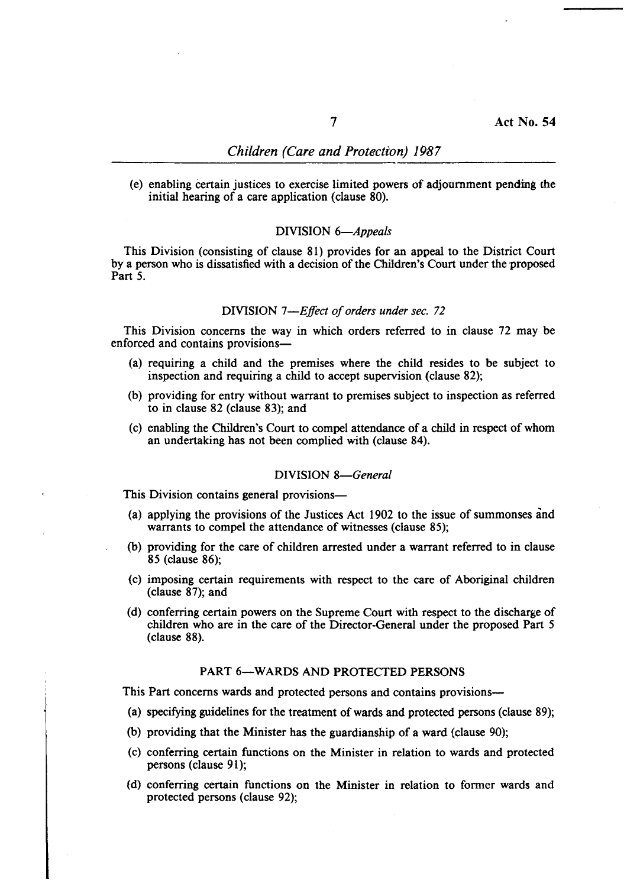(e) enabling Certain justices to exercise limited powers of adjournment pending the initial hearing of a care application (clause 80).

#### DIVISION *6-Appeals*

This Division (consisting of clause 81) provides for an appeal to the District Court by a person who is dissatisfied with a decision of the Children's Court under the proposed Part 5.

#### DIVISION *7-Effect of orders under sec. 72*

This Division concerns the way in which orders referred to in clause 72 may be enforced and contains provisions-

- (a) requiring a child and the premises where the child resides to be subject to inspection and requiring a child to accept supervision (clause 82);
- (b) providing for entry without warrant to premises subject to inspection as referred to in clause 82 (clause 83); and
- (c) enabling the Children's Court to compel attendance of a child in respect of whom an undertaking has not been complied with (clause 84).

#### DIVISION *8-General*

This Division contains general provisions—

- (a) applying the provisions of the Justices Act 1902 to the issue of summonses and warrants to compel the attendance of witnesses (clause 85);
- (b) providing for the care of children arrested under a warrant referred to in clause 85 (clause 86);
- (c) imposing certain requirements with respect to the care of Aboriginal children (clause 87); and
- (d) conferring certain powers on the Supreme Court with respect to the discharge of children who are in the care of the Director-General under the proposed Part 5 (clause 88).

#### PART 6-WARDS AND PROTECTED PERSONS

This Part concerns wards and protected persons and contains provisions-

- (a) specifying guidelines for the treatment of wards and protected persons (clause 89);
- (b) providing that the Minister has the guardianship of a ward (clause 90);
- (c) conferring certain functions on the Minister in relation to wards and protected persons (clause 91);
- (d) conferring certain functions on the Minister in relation 10 former wards and protected persons (clause 92);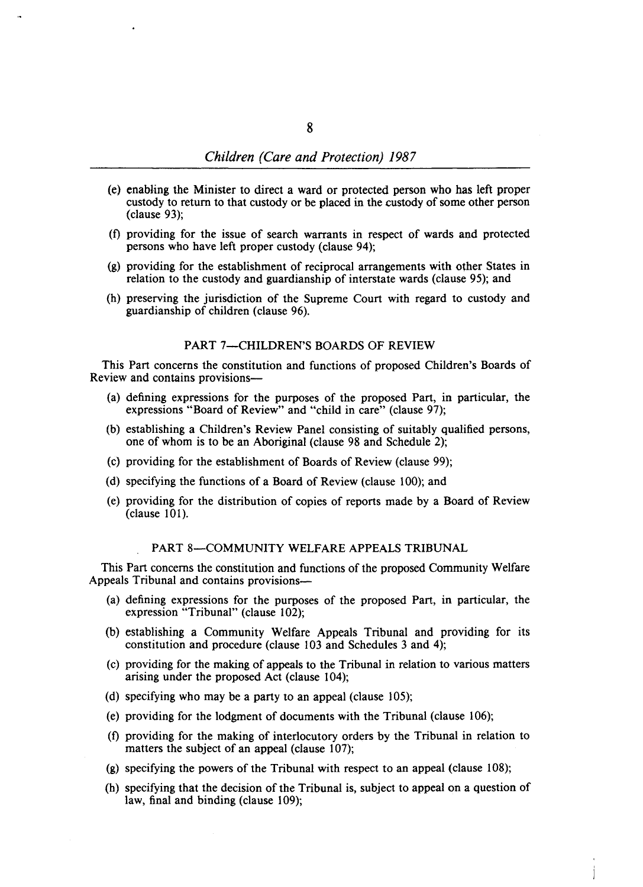- (e) enabling the Minister to direct a ward or protected person who has left proper custody to return to that custody or be placed in the custody of some other person (clause 93);
- (f) providing for the issue of search warrants in respect of wards and protected persons who have left proper custody (clause 94);
- (g) providing for the establishment of reciprocal arrangements with other States in relation to the custody and guardianship of interstate wards (clause 95); and
- (h) preserving the jurisdiction of the Supreme Court with regard to custody and guardianship of children (clause 96).

## PART 7-CHILDREN'S BOARDS OF REVIEW

This Part concerns the constitution and functions of proposed Children's Boards of Review and contains provisions-

- (a) defining expressions for the purposes of the proposed Part, in particular, the expressions "Board of Review" and "child in care" (clause 97);
- (b) establishing a Children's Review Panel consisting of suitably qualified persons, one of whom is to be an Aboriginal (clause 98 and Schedule 2);
- (c) providing for the establishment of Boards of Review (clause 99);
- (d) specifying the functions of a Board of Review (clause 100); and
- (e) providing for the distribution of copies of reports made by a Board of Review (clause 101).

## PART 8-COMMUNITY WELFARE APPEALS TRIBUNAL

This Part concerns the constitution and functions of the proposed Community Welfare Appeals Tribunal and contains provisions-

- (a) defining expressions for the purposes of the proposed Part, in particular, the expression "Tribunal" (clause 102);
- (b) establishing a Community Welfare Appeals Tribunal and providing for its constitution and procedure (clause 103 and Schedules 3 and 4);
- (c) providing for the making of appeals to the Tribunal in relation to various matters arising under the proposed Act (clause 104);
- (d) specifying who may be a party to an appeal (clause 105);
- (e) providing for the lodgment of documents with the Tribunal (clause 106);
- (f) providing for the making of interlocutory orders by the Tribunal in relation to matters the subject of an appeal (clause 107);
- (g) specifying the powers of the Tribunal with respect to an appeal (clause 108);
- (h) specifying that the decision of the Tribunal is, subject to appeal on a question of law, final and binding (clause 109);